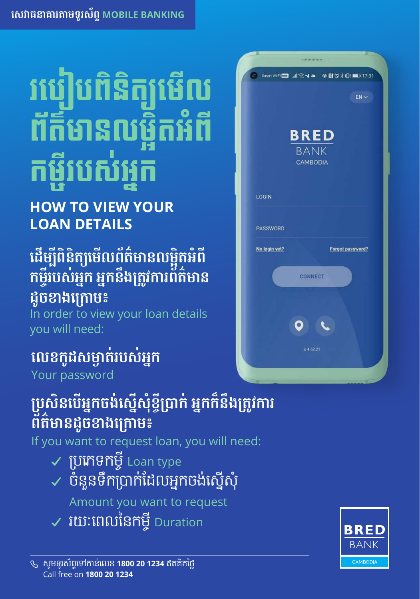# របៀបពិនិត្យមើល ព័ត៌មានលម្អិតអំពី កម្ចីរបស់អ្នក

#### **HOW TO VIEW YOUR LOAN DETAILS**

#### **ដើម្បីពិនិត្យមើលព័ត៌មានលម្អិតអំពី កម្ចីរបស់អ្នក អ្នកនឹងតូវការព័ត៌មាន ដូចខាងកម៖ ្រោ**

In order to view your loan details you will need:

#### **លខកូដសម្ងត់របស់អ្នក**

Your password

#### **បសិនបើអ្នកចង់ស្នើសុំខ្ចីបក់ អ្នកក៏នឹងតូវការ ព័ត៌មានដូចខាងកម៖**

If you want to request loan, you will need:

- ប្រភេទកម្ចីLoan type
- ចំនួនទឹកប្រាក់ដែលអ្នកចង់ស្នើសុំ

Amount you want to request

 $\checkmark$  រយៈពេលនៃកម្ចី Duration



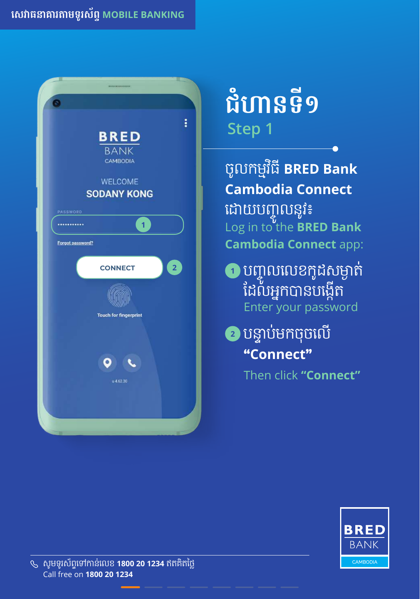

# **Step 1 ជំហានទី១**

- ចូលកម្មវ ធ ី**BRED Bank**  ិ **Cambodia Connect** ដោយបញ្ចូ លនូវ៖ Log in to the **BRED Bank Cambodia Connect** app:
- **<sup>1</sup>** បញ្ចូលលេខកូដសម្ងា ត់ ដែលអ្នកបានបង្កេត Enter your password
- **2** បន្ទា ប់មកចុចលើ **"Connect "**

Then click **"Connect"**

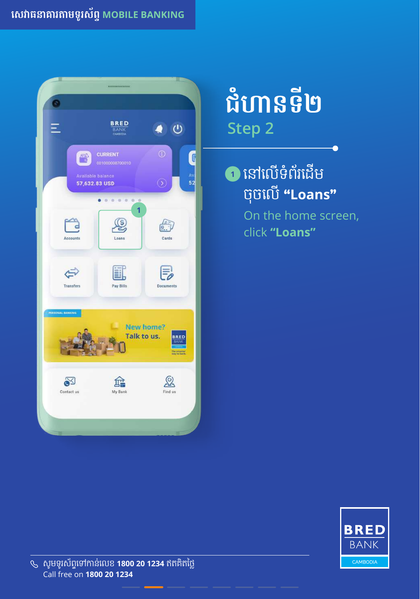#### **សេវាធនាគារតាមទូរស័ព្ទMOBILE BANKING**



### **Step 2 ជំហានទី២**

#### <mark>ា</mark> នោលេទពរដេម ចុចលើ **"Loans "**

On the home screen, click **"Loans"**

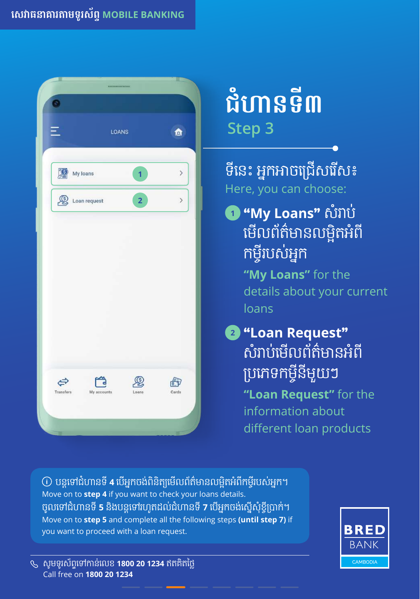

# **Step 3 ជំហានទី៣**

ទនេះ អ្នកអាចជ្រេសរេស៖ Here, you can choose:

**<sup>1</sup> "My Loans"** សំរាប់ មេលេពតមានលម្អតអព<br>កម្ចីរបស់អ្នក ចីបស់អ្នក **"My Loans"** for the details about your current loans

**<sup>2</sup> "Loan Request"** សំរាបម់ លើ ព័ត៌មានអំពី ប្រភេទកម្វុនមួយៗ

**"Loan Request"** for the information about different loan products

 $_{\rm 0}$  បន្តទៅជំហានទ **4** បេអ្នកចង់ពនត្យមេលពតមានលម្អតអពកម្វរបសអ្នក។ Move on to **step 4** if you want to check your loans details. ចូលទៅជំហានទី**5** និ ងបន្តទៅរហូតដល់ជំហានទី**7** បើ អ្នកចង់ស្ើ នសុំខ្ចីប្រាក់។ Move on to **step 5** and complete all the following steps **(until step 7)** if you want to proceed with a loan request.

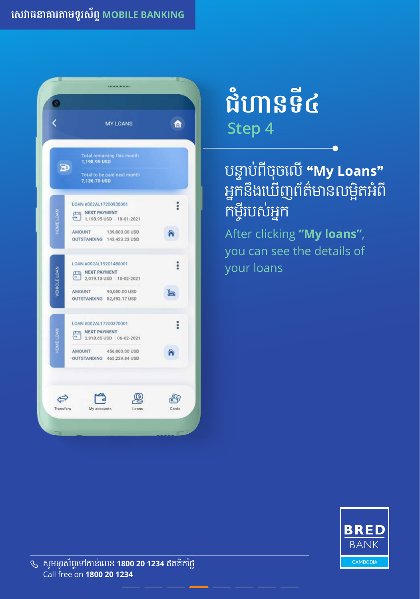

### **Step 4 ជំហានទី៤**

#### បន្ទាបពី់ ពី ចុចលើ**"My Loans"** អ្នកនឹងឃេញពត៌មានលម្អតអំព កម្រ ចីបស់អ្នក

After clicking **"My loans"**, you can see the details of your loans

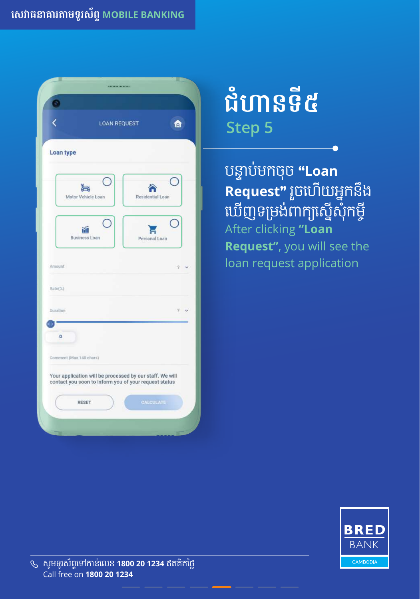|                                     | <b>LOAN REQUEST</b>                                                                                               | 囟              |
|-------------------------------------|-------------------------------------------------------------------------------------------------------------------|----------------|
|                                     |                                                                                                                   |                |
| Loan type                           |                                                                                                                   |                |
| Motor Vehicle Loan                  | Residential Loan                                                                                                  |                |
| <b>Business Loan</b>                | Personal Loan                                                                                                     |                |
| Amount                              |                                                                                                                   | $\mathfrak{D}$ |
|                                     |                                                                                                                   |                |
| Rate(%)                             |                                                                                                                   |                |
|                                     |                                                                                                                   | Ÿ.             |
| $\bullet$                           |                                                                                                                   |                |
| Duration<br>Comment (Max 140 chars) |                                                                                                                   |                |
|                                     | Your application will be processed by our staff. We will<br>contact you soon to inform you of your request status |                |

### **Step 5 ជំហានទី៥**

បន្ទាប់មកចុច **"Loan Request"** រួចហើ យអ្នកនឹ ង ឃេញទម្រង់ពាក្យស្នេសុកម្ច After clicking **"Loan Request"**, you will see the loan request application

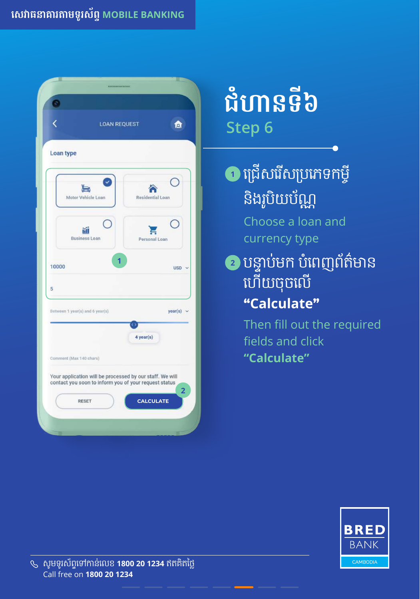

## **Step 6 ជំហានទី៦**

**<sup>1</sup>** ជ្រើ សរសើ ប្រភេទកម្ចី និ ងរូបិ យប័ណ្ណ

> Choose a loan and currency type

**<sup>2</sup>** បន្ទាប់មក បំពេញព័ត៌មាន ហើ យចុចលើ **"Calculate"**

> Then fill out the required fields and click  **"Calculate"**

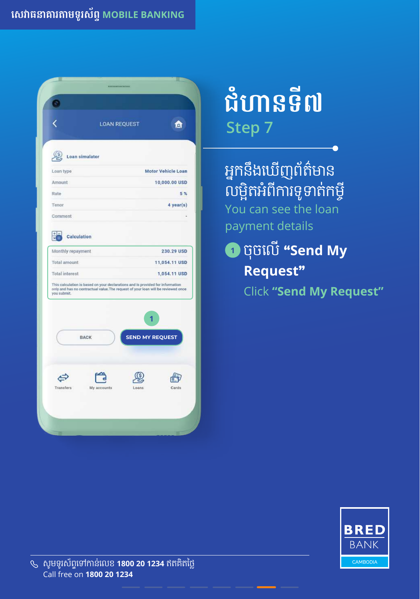|                                                                                      | <b>LOAN REQUEST</b>                                                                                                                                                 | 囟                                           |  |  |
|--------------------------------------------------------------------------------------|---------------------------------------------------------------------------------------------------------------------------------------------------------------------|---------------------------------------------|--|--|
|                                                                                      |                                                                                                                                                                     |                                             |  |  |
| Loan simulator<br>Loan type                                                          |                                                                                                                                                                     | <b>Motor Vehicle Loan</b>                   |  |  |
| Amount                                                                               |                                                                                                                                                                     | 10,000.00 USD                               |  |  |
| Rate                                                                                 |                                                                                                                                                                     | 5%                                          |  |  |
| Tenor                                                                                |                                                                                                                                                                     | 4 year(s)                                   |  |  |
| Comment                                                                              |                                                                                                                                                                     |                                             |  |  |
| +1<br>Calculation<br>×<br>Monthly repayment<br>Total amount<br><b>Total</b> interest |                                                                                                                                                                     | 230.29 USD<br>11,054.11 USD<br>1,054.11 USD |  |  |
| you submit.                                                                          | This calculation is based on your declarations and is provided for information<br>only and has no contractual value. The request of your loan will be reviewed once |                                             |  |  |
|                                                                                      |                                                                                                                                                                     | 1                                           |  |  |
| <b>BACK</b>                                                                          |                                                                                                                                                                     | <b>SEND MY REQUEST</b>                      |  |  |

## **Step 7 ជំហានទី៧**

អ្នកនឹងឃេញពត៌មាន លម្អតអពការទូទាតកម្វុ You can see the loan payment details

**<sup>1</sup>** ចុចលើ**"Send My Request"** Click **"Send My Request"**